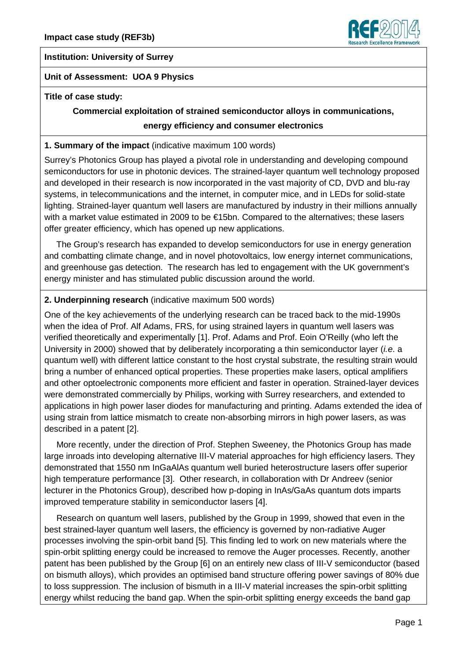

#### **Institution: University of Surrey**

#### **Unit of Assessment: UOA 9 Physics**

#### **Title of case study:**

# **Commercial exploitation of strained semiconductor alloys in communications, energy efficiency and consumer electronics**

#### **1. Summary of the impact** (indicative maximum 100 words)

Surrey's Photonics Group has played a pivotal role in understanding and developing compound semiconductors for use in photonic devices. The strained-layer quantum well technology proposed and developed in their research is now incorporated in the vast majority of CD, DVD and blu-ray systems, in telecommunications and the internet, in computer mice, and in LEDs for solid-state lighting. Strained-layer quantum well lasers are manufactured by industry in their millions annually with a market value estimated in 2009 to be €15bn. Compared to the alternatives; these lasers offer greater efficiency, which has opened up new applications.

 The Group's research has expanded to develop semiconductors for use in energy generation and combatting climate change, and in novel photovoltaics, low energy internet communications, and greenhouse gas detection. The research has led to engagement with the UK government's energy minister and has stimulated public discussion around the world.

#### **2. Underpinning research** (indicative maximum 500 words)

One of the key achievements of the underlying research can be traced back to the mid-1990s when the idea of Prof. Alf Adams, FRS, for using strained layers in quantum well lasers was verified theoretically and experimentally [1]. Prof. Adams and Prof. Eoin O'Reilly (who left the University in 2000) showed that by deliberately incorporating a thin semiconductor layer (*i.e*. a quantum well) with different lattice constant to the host crystal substrate, the resulting strain would bring a number of enhanced optical properties. These properties make lasers, optical amplifiers and other optoelectronic components more efficient and faster in operation. Strained-layer devices were demonstrated commercially by Philips, working with Surrey researchers, and extended to applications in high power laser diodes for manufacturing and printing. Adams extended the idea of using strain from lattice mismatch to create non-absorbing mirrors in high power lasers, as was described in a patent [2].

 More recently, under the direction of Prof. Stephen Sweeney, the Photonics Group has made large inroads into developing alternative III-V material approaches for high efficiency lasers. They demonstrated that 1550 nm InGaAlAs quantum well buried heterostructure lasers offer superior high temperature performance [3]. Other research, in collaboration with Dr Andreev (senior lecturer in the Photonics Group), described how p-doping in InAs/GaAs quantum dots imparts improved temperature stability in semiconductor lasers [4].

 Research on quantum well lasers, published by the Group in 1999, showed that even in the best strained-layer quantum well lasers, the efficiency is governed by non-radiative Auger processes involving the spin-orbit band [5]. This finding led to work on new materials where the spin-orbit splitting energy could be increased to remove the Auger processes. Recently, another patent has been published by the Group [6] on an entirely new class of III-V semiconductor (based on bismuth alloys), which provides an optimised band structure offering power savings of 80% due to loss suppression. The inclusion of bismuth in a III-V material increases the spin-orbit splitting energy whilst reducing the band gap. When the spin-orbit splitting energy exceeds the band gap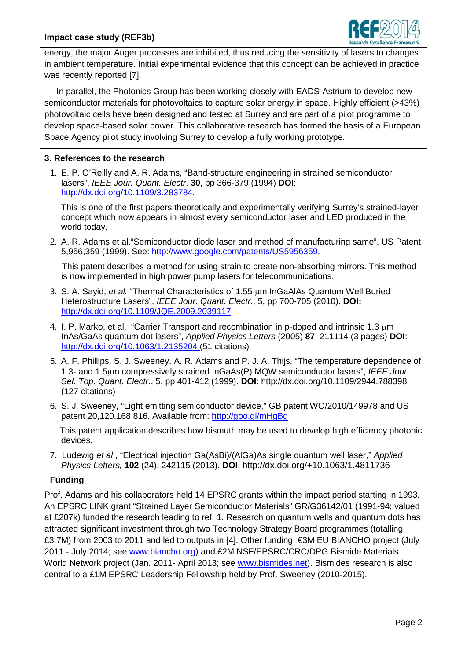

energy, the major Auger processes are inhibited, thus reducing the sensitivity of lasers to changes in ambient temperature. Initial experimental evidence that this concept can be achieved in practice was recently reported [7].

 In parallel, the Photonics Group has been working closely with EADS-Astrium to develop new semiconductor materials for photovoltaics to capture solar energy in space. Highly efficient (>43%) photovoltaic cells have been designed and tested at Surrey and are part of a pilot programme to develop space-based solar power. This collaborative research has formed the basis of a European Space Agency pilot study involving Surrey to develop a fully working prototype.

## **3. References to the research**

1. E. P. O'Reilly and A. R. Adams, "Band-structure engineering in strained semiconductor lasers", *IEEE Jour. Quant. Electr*. **30**, pp 366-379 (1994) **DOI**: [http://dx.doi.org/10.1109/3.283784.](http://dx.doi.org/10.1109/3.283784)

This is one of the first papers theoretically and experimentally verifying Surrey's strained-layer concept which now appears in almost every semiconductor laser and LED produced in the world today.

2. A. R. Adams et al."Semiconductor diode laser and method of manufacturing same", US Patent 5,956,359 (1999). See: [http://www.google.com/patents/US5956359.](http://www.google.com/patents/US5956359)

 This patent describes a method for using strain to create non-absorbing mirrors. This method is now implemented in high power pump lasers for telecommunications.

- 3. S. A. Sayid, *et al.* "Thermal Characteristics of 1.55 µm InGaAlAs Quantum Well Buried Heterostructure Lasers", *IEEE Jour. Quant. Electr.*, 5, pp 700-705 (2010). **DOI:** <http://dx.doi.org/10.1109/JQE.2009.2039117>
- 4. I. P. Marko, et al. "Carrier Transport and recombination in p-doped and intrinsic 1.3 µm InAs/GaAs quantum dot lasers", *Applied Physics Letters* (2005) **87**, 211114 (3 pages) **DOI**: [http://dx.doi.org/10.1063/1.2135204 \(51](http://dx.doi.org/10.1063/1.2135204%20(51) citations)
- 5. A. F. Phillips, S. J. Sweeney, A. R. Adams and P. J. A. Thijs, "The temperature dependence of 1.3- and 1.5µm compressively strained InGaAs(P) MQW semiconductor lasers", *IEEE Jour. Sel. Top. Quant. Electr*., 5, pp 401-412 (1999). **DOI**: http://dx.doi.org/10.1109/2944.788398 (127 citations)
- 6. S. J. Sweeney, "Light emitting semiconductor device," GB patent WO/2010/149978 and US patent 20,120,168,816. Available from:<http://goo.gl/mHgBg>

 This patent application describes how bismuth may be used to develop high efficiency photonic devices.

7. Ludewig *et al*., "Electrical injection Ga(AsBi)/(AlGa)As single quantum well laser," *Applied Physics Letters,* **102** (24), 242115 (2013). **DOI**: [http://dx.doi.org/+10.1063/1.4811736](http://dx.doi.org/10.1063/1.4811736)

# **Funding**

Prof. Adams and his collaborators held 14 EPSRC grants within the impact period starting in 1993. An EPSRC LINK grant "Strained Layer Semiconductor Materials" GR/G36142/01 (1991-94; valued at £207k) funded the research leading to ref. 1. Research on quantum wells and quantum dots has attracted significant investment through two Technology Strategy Board programmes (totalling £3.7M) from 2003 to 2011 and led to outputs in [4]. Other funding: €3M EU BIANCHO project (July 2011 - July 2014; see [www.biancho.org\)](http://www.biancho.org/) and £2M NSF/EPSRC/CRC/DPG Bismide Materials World Network project (Jan. 2011- April 2013; see [www.bismides.net\)](http://www.bismides.net/). Bismides research is also central to a £1M EPSRC Leadership Fellowship held by Prof. Sweeney (2010-2015).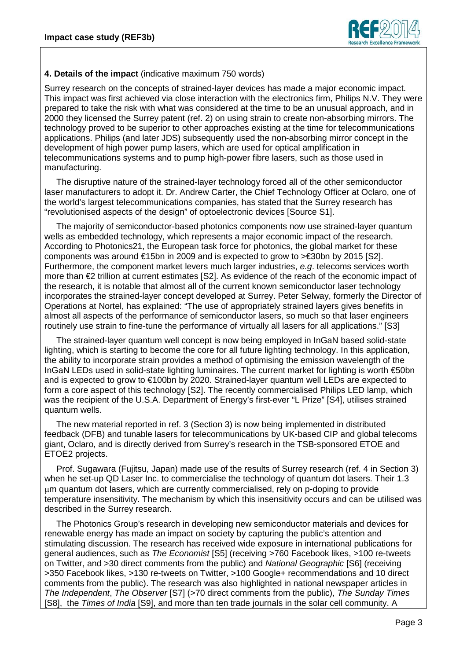

#### **4. Details of the impact** (indicative maximum 750 words)

Surrey research on the concepts of strained-layer devices has made a major economic impact. This impact was first achieved via close interaction with the electronics firm, Philips N.V. They were prepared to take the risk with what was considered at the time to be an unusual approach, and in 2000 they licensed the Surrey patent (ref. 2) on using strain to create non-absorbing mirrors. The technology proved to be superior to other approaches existing at the time for telecommunications applications. Philips (and later JDS) subsequently used the non-absorbing mirror concept in the development of high power pump lasers, which are used for optical amplification in telecommunications systems and to pump high-power fibre lasers, such as those used in manufacturing.

 The disruptive nature of the strained-layer technology forced all of the other semiconductor laser manufacturers to adopt it. Dr. Andrew Carter, the Chief Technology Officer at Oclaro, one of the world's largest telecommunications companies, has stated that the Surrey research has "revolutionised aspects of the design" of optoelectronic devices [Source S1].

 The majority of semiconductor-based photonics components now use strained-layer quantum wells as embedded technology, which represents a major economic impact of the research. According to Photonics21, the European task force for photonics, the global market for these components was around €15bn in 2009 and is expected to grow to >€30bn by 2015 [S2]. Furthermore, the component market levers much larger industries, *e.g*. telecoms services worth more than €2 trillion at current estimates [S2]. As evidence of the reach of the economic impact of the research, it is notable that almost all of the current known semiconductor laser technology incorporates the strained-layer concept developed at Surrey. Peter Selway, formerly the Director of Operations at Nortel, has explained: "The use of appropriately strained layers gives benefits in almost all aspects of the performance of semiconductor lasers, so much so that laser engineers routinely use strain to fine-tune the performance of virtually all lasers for all applications." [S3]

 The strained-layer quantum well concept is now being employed in InGaN based solid-state lighting, which is starting to become the core for all future lighting technology. In this application, the ability to incorporate strain provides a method of optimising the emission wavelength of the InGaN LEDs used in solid-state lighting luminaires. The current market for lighting is worth €50bn and is expected to grow to €100bn by 2020. Strained-layer quantum well LEDs are expected to form a core aspect of this technology [S2]. The recently commercialised Philips LED lamp, which was the recipient of the U.S.A. Department of Energy's first-ever "L Prize" [S4], utilises strained quantum wells.

 The new material reported in ref. 3 (Section 3) is now being implemented in distributed feedback (DFB) and tunable lasers for telecommunications by UK-based CIP and global telecoms giant, Oclaro, and is directly derived from Surrey's research in the TSB-sponsored ETOE and ETOE2 projects.

 Prof. Sugawara (Fujitsu, Japan) made use of the results of Surrey research (ref. 4 in Section 3) when he set-up QD Laser Inc. to commercialise the technology of quantum dot lasers. Their 1.3 µm quantum dot lasers, which are currently commercialised, rely on p-doping to provide temperature insensitivity. The mechanism by which this insensitivity occurs and can be utilised was described in the Surrey research.

 The Photonics Group's research in developing new semiconductor materials and devices for renewable energy has made an impact on society by capturing the public's attention and stimulating discussion. The research has received wide exposure in international publications for general audiences, such as *The Economist* [S5] (receiving >760 Facebook likes, >100 re-tweets on Twitter, and >30 direct comments from the public) and *National Geographic* [S6] (receiving >350 Facebook likes, >130 re-tweets on Twitter, >100 Google+ recommendations and 10 direct comments from the public). The research was also highlighted in national newspaper articles in *The Independent*, *The Observer* [S7] (>70 direct comments from the public), *The Sunday Times* [S8], the *Times of India* [S9], and more than ten trade journals in the solar cell community. A